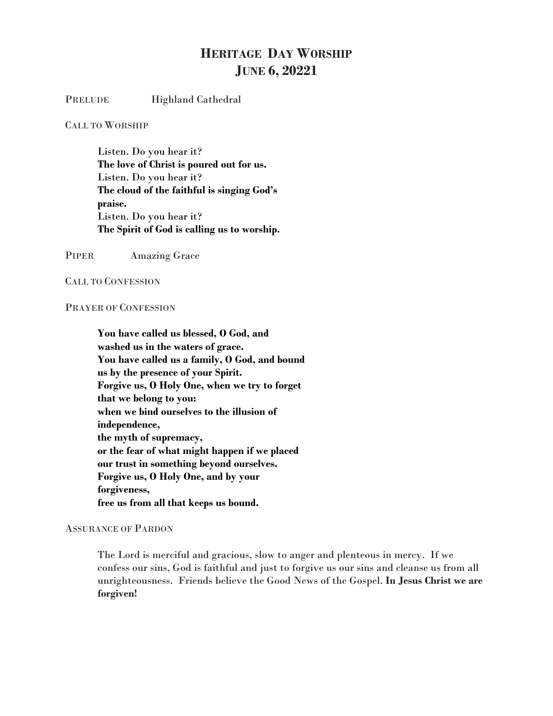## **HERITAGE DAY WORSHIP JUNE 6, 20221**

PRELUDE Highland Cathedral

CALL TO WORSHIP

Listen. Do you hear it? **The love of Christ is poured out for us.** Listen. Do you hear it? **The cloud of the faithful is singing God's praise.** Listen. Do you hear it? **The Spirit of God is calling us to worship.**

PIPER Amazing Grace

CALL TO CONFESSION

## PRAYER OF CONFESSION

**You have called us blessed, O God, and washed us in the waters of grace. You have called us a family, O God, and bound us by the presence of your Spirit. Forgive us, O Holy One, when we try to forget that we belong to you: when we bind ourselves to the illusion of independence, the myth of supremacy, or the fear of what might happen if we placed our trust in something beyond ourselves. Forgive us, O Holy One, and by your forgiveness, free us from all that keeps us bound.**

## ASSURANCE OF PARDON

The Lord is merciful and gracious, slow to anger and plenteous in mercy. If we confess our sins, God is faithful and just to forgive us our sins and cleanse us from all unrighteousness. Friends believe the Good News of the Gospel. **In Jesus Christ we are forgiven!**